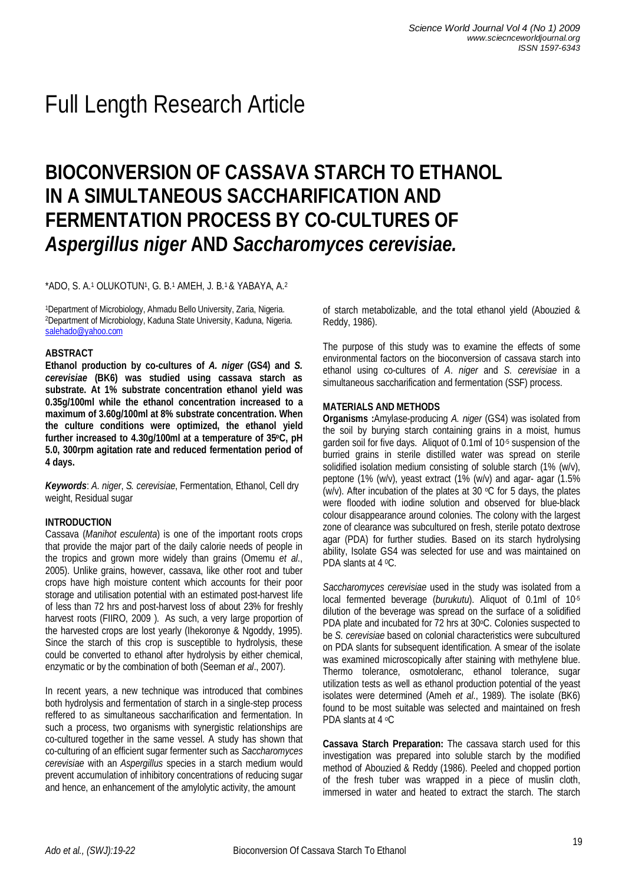# Full Length Research Article

# **BIOCONVERSION OF CASSAVA STARCH TO ETHANOL IN A SIMULTANEOUS SACCHARIFICATION AND FERMENTATION PROCESS BY CO-CULTURES OF**  *Aspergillus niger* **AND** *Saccharomyces cerevisiae.*

\*ADO, S. A.<sup>1</sup> OLUKOTUN<sup>1</sup> , G. B.<sup>1</sup> AMEH, J. B.1 & YABAYA, A.<sup>2</sup>

<sup>1</sup>Department of Microbiology, Ahmadu Bello University, Zaria, Nigeria. <sup>2</sup>Department of Microbiology, Kaduna State University, Kaduna, Nigeria. salehado@yahoo.com

#### **ABSTRACT**

**Ethanol production by co-cultures of** *A. niger* **(GS4) and** *S. cerevisiae* **(BK6) was studied using cassava starch as substrate. At 1% substrate concentration ethanol yield was 0.35g/100ml while the ethanol concentration increased to a maximum of 3.60g/100ml at 8% substrate concentration. When the culture conditions were optimized, the ethanol yield further increased to 4.30g/100ml at a temperature of 35oC, pH 5.0, 300rpm agitation rate and reduced fermentation period of 4 days.**

*Keywords*: *A. niger*, *S. cerevisiae*, Fermentation, Ethanol, Cell dry weight, Residual sugar

# **INTRODUCTION**

Cassava (*Manihot esculenta*) is one of the important roots crops that provide the major part of the daily calorie needs of people in the tropics and grown more widely than grains (Omemu *et al*., 2005). Unlike grains, however, cassava, like other root and tuber crops have high moisture content which accounts for their poor storage and utilisation potential with an estimated post-harvest life of less than 72 hrs and post-harvest loss of about 23% for freshly harvest roots (FIIRO, 2009 ). As such, a very large proportion of the harvested crops are lost yearly (Ihekoronye & Ngoddy, 1995). Since the starch of this crop is susceptible to hydrolysis, these could be converted to ethanol after hydrolysis by either chemical, enzymatic or by the combination of both (Seeman *et al*., 2007).

In recent years, a new technique was introduced that combines both hydrolysis and fermentation of starch in a single-step process reffered to as simultaneous saccharification and fermentation. In such a process, two organisms with synergistic relationships are co-cultured together in the same vessel. A study has shown that co-culturing of an efficient sugar fermenter such as *Saccharomyces cerevisiae* with an *Aspergillus* species in a starch medium would prevent accumulation of inhibitory concentrations of reducing sugar and hence, an enhancement of the amylolytic activity, the amount

of starch metabolizable, and the total ethanol yield (Abouzied & Reddy, 1986).

The purpose of this study was to examine the effects of some environmental factors on the bioconversion of cassava starch into ethanol using co-cultures of *A*. *niger* and *S. cerevisiae* in a simultaneous saccharification and fermentation (SSF) process.

#### **MATERIALS AND METHODS**

**Organisms :**Amylase-producing *A. niger* (GS4) was isolated from the soil by burying starch containing grains in a moist, humus garden soil for five days. Aliquot of 0.1ml of 10-5 suspension of the burried grains in sterile distilled water was spread on sterile solidified isolation medium consisting of soluble starch (1% (w/v), peptone (1% (w/v), yeast extract (1% (w/v) and agar- agar (1.5% (w/v). After incubation of the plates at 30  $\circ$ C for 5 days, the plates were flooded with iodine solution and observed for blue-black colour disappearance around colonies. The colony with the largest zone of clearance was subcultured on fresh, sterile potato dextrose agar (PDA) for further studies. Based on its starch hydrolysing ability, Isolate GS4 was selected for use and was maintained on PDA slants at 4 <sup>0</sup>C.

*Saccharomyces cerevisiae* used in the study was isolated from a local fermented beverage (*burukutu*). Aliquot of 0.1ml of 10-5 dilution of the beverage was spread on the surface of a solidified PDA plate and incubated for 72 hrs at 30°C. Colonies suspected to be *S. cerevisiae* based on colonial characteristics were subcultured on PDA slants for subsequent identification. A smear of the isolate was examined microscopically after staining with methylene blue. Thermo tolerance, osmotoleranc, ethanol tolerance, sugar utilization tests as well as ethanol production potential of the yeast isolates were determined (Ameh *et al*., 1989). The isolate (BK6) found to be most suitable was selected and maintained on fresh PDA slants at 4 <sup>o</sup>C

**Cassava Starch Preparation:** The cassava starch used for this investigation was prepared into soluble starch by the modified method of Abouzied & Reddy (1986). Peeled and chopped portion of the fresh tuber was wrapped in a piece of muslin cloth, immersed in water and heated to extract the starch. The starch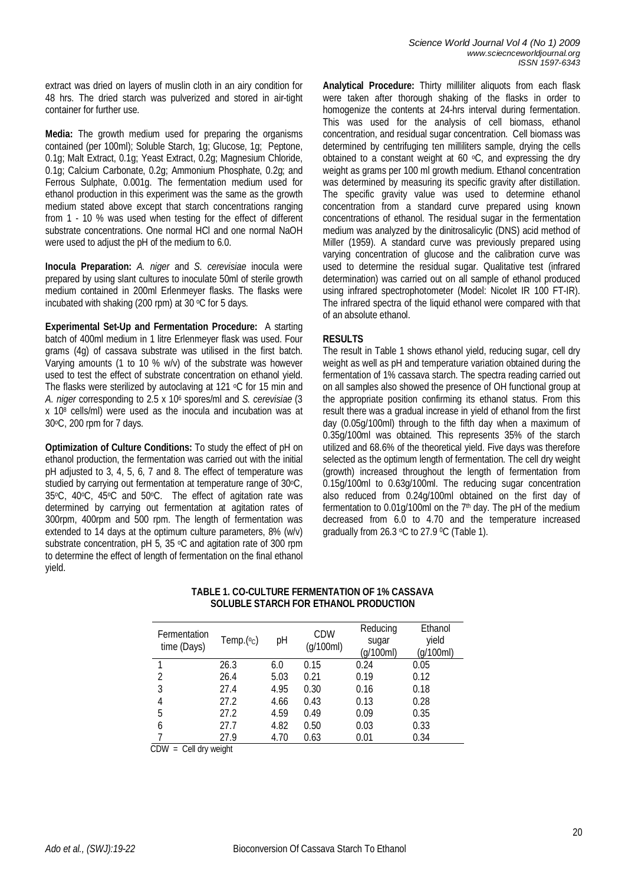extract was dried on layers of muslin cloth in an airy condition for 48 hrs. The dried starch was pulverized and stored in air-tight container for further use.

**Media:** The growth medium used for preparing the organisms contained (per 100ml); Soluble Starch, 1g; Glucose, 1g; Peptone, 0.1g; Malt Extract, 0.1g; Yeast Extract, 0.2g; Magnesium Chloride, 0.1g; Calcium Carbonate, 0.2g; Ammonium Phosphate, 0.2g; and Ferrous Sulphate, 0.001g. The fermentation medium used for ethanol production in this experiment was the same as the growth medium stated above except that starch concentrations ranging from 1 - 10 % was used when testing for the effect of different substrate concentrations. One normal HCl and one normal NaOH were used to adjust the pH of the medium to 6.0.

**Inocula Preparation:** *A. niger* and *S. cerevisiae* inocula were prepared by using slant cultures to inoculate 50ml of sterile growth medium contained in 200ml Erlenmeyer flasks. The flasks were incubated with shaking (200 rpm) at 30  $\mathrm{^{\circ}C}$  for 5 days.

**Experimental Set-Up and Fermentation Procedure:** A starting batch of 400ml medium in 1 litre Erlenmeyer flask was used. Four grams (4g) of cassava substrate was utilised in the first batch. Varying amounts (1 to 10 % w/v) of the substrate was however used to test the effect of substrate concentration on ethanol yield. The flasks were sterilized by autoclaving at 121  $\degree$ C for 15 min and A. niger corresponding to 2.5 x 10<sup>6</sup> spores/ml and *S. cerevisiae* (3 x 10<sup>8</sup> cells/ml) were used as the inocula and incubation was at 30oC, 200 rpm for 7 days.

**Optimization of Culture Conditions:** To study the effect of pH on ethanol production, the fermentation was carried out with the initial pH adjusted to 3, 4, 5, 6, 7 and 8. The effect of temperature was studied by carrying out fermentation at temperature range of 30°C, 35oC, 40oC, 45oC and 50oC. The effect of agitation rate was determined by carrying out fermentation at agitation rates of 300rpm, 400rpm and 500 rpm. The length of fermentation was extended to 14 days at the optimum culture parameters, 8% (w/v) substrate concentration, pH 5, 35  $\degree$ C and agitation rate of 300 rpm to determine the effect of length of fermentation on the final ethanol yield.

**Analytical Procedure:** Thirty milliliter aliquots from each flask were taken after thorough shaking of the flasks in order to homogenize the contents at 24-hrs interval during fermentation. This was used for the analysis of cell biomass, ethanol concentration, and residual sugar concentration. Cell biomass was determined by centrifuging ten milliliters sample, drying the cells obtained to a constant weight at 60  $\circ$ C, and expressing the dry weight as grams per 100 ml growth medium. Ethanol concentration was determined by measuring its specific gravity after distillation. The specific gravity value was used to determine ethanol concentration from a standard curve prepared using known concentrations of ethanol. The residual sugar in the fermentation medium was analyzed by the dinitrosalicylic (DNS) acid method of Miller (1959). A standard curve was previously prepared using varying concentration of glucose and the calibration curve was used to determine the residual sugar. Qualitative test (infrared determination) was carried out on all sample of ethanol produced using infrared spectrophotometer (Model: Nicolet IR 100 FT-IR). The infrared spectra of the liquid ethanol were compared with that of an absolute ethanol.

# **RESULTS**

The result in Table 1 shows ethanol yield, reducing sugar, cell dry weight as well as pH and temperature variation obtained during the fermentation of 1% cassava starch. The spectra reading carried out on all samples also showed the presence of OH functional group at the appropriate position confirming its ethanol status. From this result there was a gradual increase in yield of ethanol from the first day (0.05g/100ml) through to the fifth day when a maximum of 0.35g/100ml was obtained. This represents 35% of the starch utilized and 68.6% of the theoretical yield. Five days was therefore selected as the optimum length of fermentation. The cell dry weight (growth) increased throughout the length of fermentation from 0.15g/100ml to 0.63g/100ml. The reducing sugar concentration also reduced from 0.24g/100ml obtained on the first day of fermentation to 0.01g/100ml on the  $7<sup>th</sup>$  day. The pH of the medium decreased from 6.0 to 4.70 and the temperature increased gradually from 26.3 °C to 27.9 °C (Table 1).

| Fermentation<br>time (Days) | Temp. $(°c)$ | рH   | <b>CDW</b><br>(g/100ml) | Reducing<br>sugar<br>(g/100ml) | Ethanol<br>yield<br>(g/100ml) |
|-----------------------------|--------------|------|-------------------------|--------------------------------|-------------------------------|
|                             | 26.3         | 6.0  | 0.15                    | 0.24                           | 0.05                          |
| 2                           | 26.4         | 5.03 | 0.21                    | 0.19                           | 0.12                          |
| 3                           | 27.4         | 4.95 | 0.30                    | 0.16                           | 0.18                          |
| 4                           | 27.2         | 4.66 | 0.43                    | 0.13                           | 0.28                          |
| 5                           | 27.2         | 4.59 | 0.49                    | 0.09                           | 0.35                          |
| 6                           | 27.7         | 4.82 | 0.50                    | 0.03                           | 0.33                          |
|                             | 27.9         | 4.70 | 0.63                    | 0.01                           | 0.34                          |

#### **TABLE 1. CO-CULTURE FERMENTATION OF 1% CASSAVA SOLUBLE STARCH FOR ETHANOL PRODUCTION**

 $CDW =$  Cell dry weight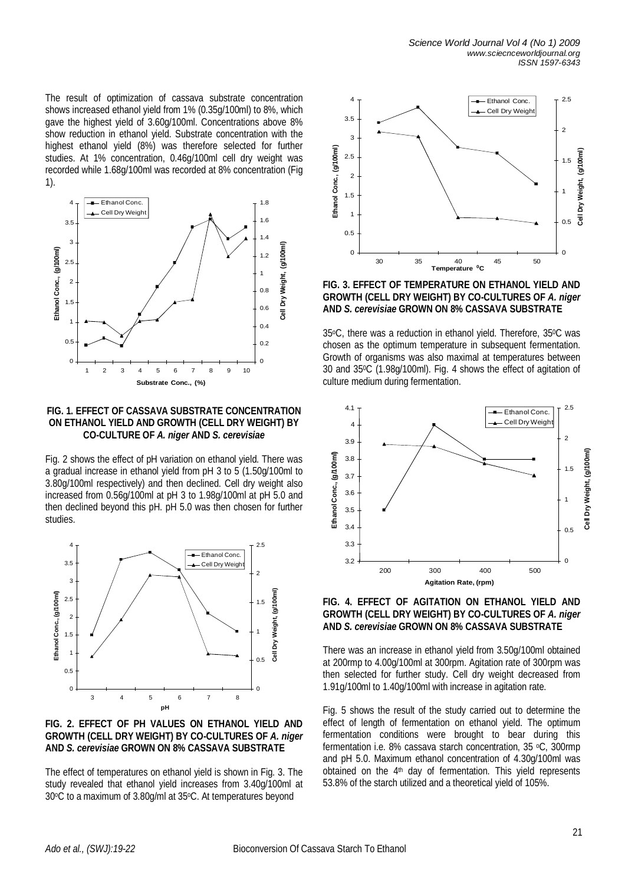The result of optimization of cassava substrate concentration shows increased ethanol yield from 1% (0.35g/100ml) to 8%, which gave the highest yield of 3.60g/100ml. Concentrations above 8% show reduction in ethanol yield. Substrate concentration with the highest ethanol yield (8%) was therefore selected for further studies. At 1% concentration, 0.46g/100ml cell dry weight was recorded while 1.68g/100ml was recorded at 8% concentration (Fig 1).





Fig. 2 shows the effect of pH variation on ethanol yield. There was a gradual increase in ethanol yield from pH 3 to 5 (1.50g/100ml to 3.80g/100ml respectively) and then declined. Cell dry weight also increased from 0.56g/100ml at pH 3 to 1.98g/100ml at pH 5.0 and then declined beyond this pH. pH 5.0 was then chosen for further studies.



## **FIG. 2. EFFECT OF PH VALUES ON ETHANOL YIELD AND GROWTH (CELL DRY WEIGHT) BY CO-CULTURES OF** *A. niger* **AND** *S. cerevisiae* **GROWN ON 8% CASSAVA SUBSTRATE**

The effect of temperatures on ethanol yield is shown in Fig. 3. The study revealed that ethanol yield increases from 3.40g/100ml at 30oC to a maximum of 3.80g/ml at 35oC. At temperatures beyond



**FIG. 3. EFFECT OF TEMPERATURE ON ETHANOL YIELD AND GROWTH (CELL DRY WEIGHT) BY CO-CULTURES OF** *A. niger* **AND** *S. cerevisiae* **GROWN ON 8% CASSAVA SUBSTRATE**

35oC, there was a reduction in ethanol yield. Therefore, 350C was chosen as the optimum temperature in subsequent fermentation. Growth of organisms was also maximal at temperatures between 30 and 350C (1.98g/100ml). Fig. 4 shows the effect of agitation of culture medium during fermentation.



#### **FIG. 4. EFFECT OF AGITATION ON ETHANOL YIELD AND GROWTH (CELL DRY WEIGHT) BY CO-CULTURES OF** *A. niger* **AND** *S. cerevisiae* **GROWN ON 8% CASSAVA SUBSTRATE**

There was an increase in ethanol yield from 3.50g/100ml obtained at 200rmp to 4.00g/100ml at 300rpm. Agitation rate of 300rpm was then selected for further study. Cell dry weight decreased from 1.91g/100ml to 1.40g/100ml with increase in agitation rate.

Fig. 5 shows the result of the study carried out to determine the effect of length of fermentation on ethanol yield. The optimum fermentation conditions were brought to bear during this fermentation i.e. 8% cassava starch concentration, 35 °C, 300rmp and pH 5.0. Maximum ethanol concentration of 4.30g/100ml was obtained on the 4<sup>th</sup> day of fermentation. This yield represents 53.8% of the starch utilized and a theoretical yield of 105%.